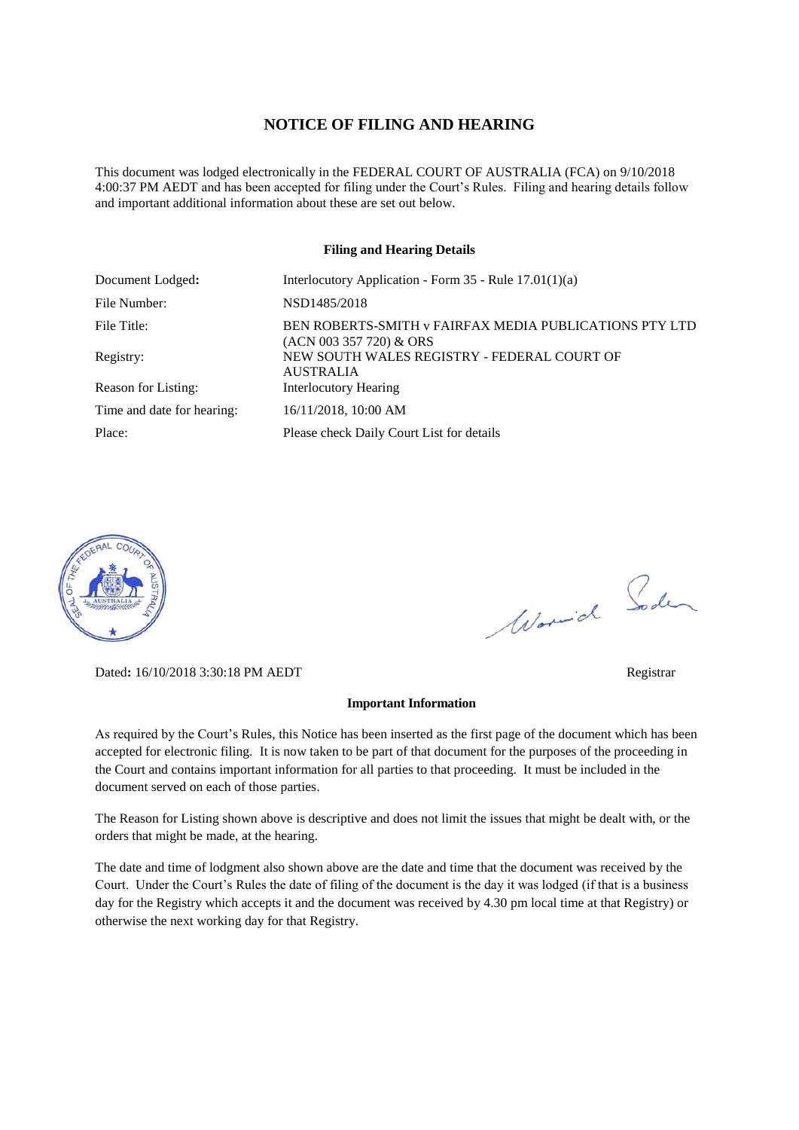#### **NOTICE OF FILING AND HEARING**

This document was lodged electronically in the FEDERAL COURT OF AUSTRALIA (FCA) on 9/10/2018 4:00:37 PM AEDT and has been accepted for filing under the Court's Rules. Filing and hearing details follow and important additional information about these are set out below.

#### **Filing and Hearing Details**

| Document Lodged:           | Interlocutory Application - Form $35$ - Rule $17.01(1)(a)$                        |
|----------------------------|-----------------------------------------------------------------------------------|
| File Number:               | NSD1485/2018                                                                      |
| File Title:                | BEN ROBERTS-SMITH v FAIRFAX MEDIA PUBLICATIONS PTY LTD<br>(ACN 003 357 720) & ORS |
| Registry:                  | NEW SOUTH WALES REGISTRY - FEDERAL COURT OF<br><b>AUSTRALIA</b>                   |
| Reason for Listing:        | <b>Interlocutory Hearing</b>                                                      |
| Time and date for hearing: | 16/11/2018, 10:00 AM                                                              |
| Place:                     | Please check Daily Court List for details                                         |



Dated**:** 16/10/2018 3:30:18 PM AEDT Registrar

#### **Important Information**

As required by the Court's Rules, this Notice has been inserted as the first page of the document which has been accepted for electronic filing. It is now taken to be part of that document for the purposes of the proceeding in the Court and contains important information for all parties to that proceeding. It must be included in the document served on each of those parties.

The Reason for Listing shown above is descriptive and does not limit the issues that might be dealt with, or the orders that might be made, at the hearing.

The date and time of lodgment also shown above are the date and time that the document was received by the Court. Under the Court's Rules the date of filing of the document is the day it was lodged (if that is a business day for the Registry which accepts it and the document was received by 4.30 pm local time at that Registry) or otherwise the next working day for that Registry.

Worwich Soden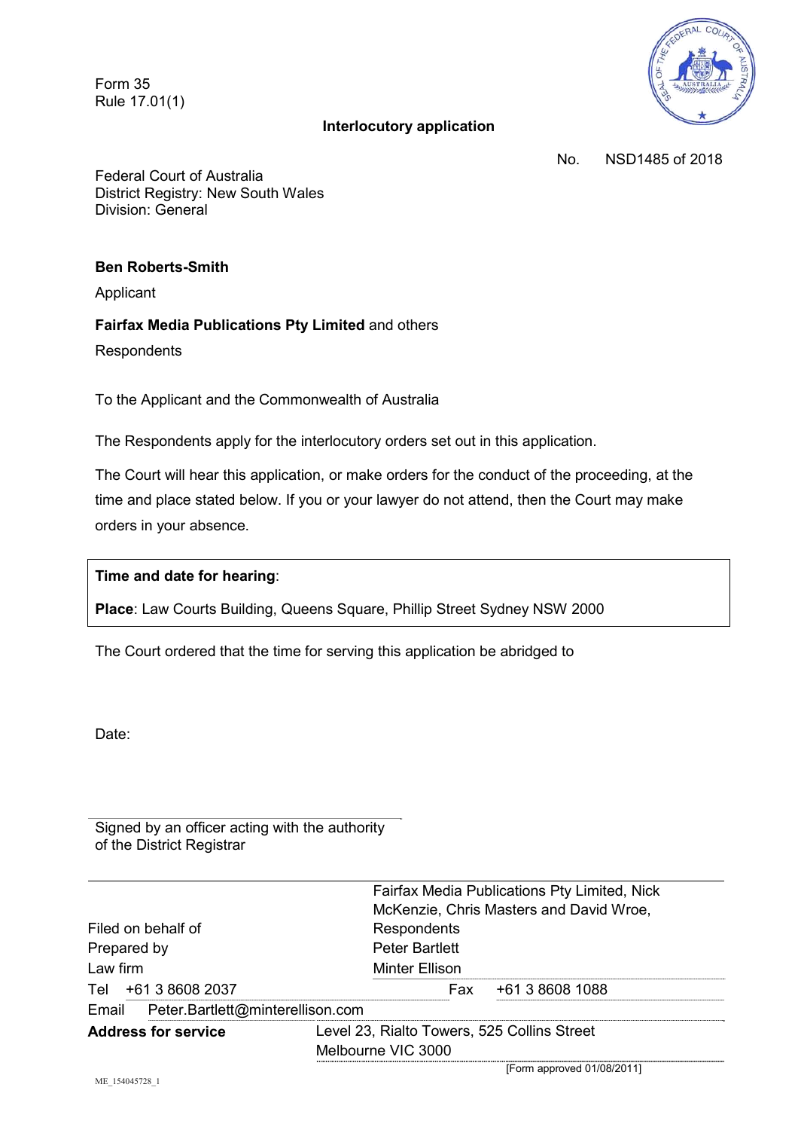Form 35 Rule 17.01(1)

# **Interlocutory application**



No. NSD1485 of 2018

Federal Court of Australia District Registry: New South Wales Division: General

### **Ben Roberts-Smith**

Applicant

### **Fairfax Media Publications Pty Limited** and others

**Respondents** 

To the Applicant and the Commonwealth of Australia

The Respondents apply for the interlocutory orders set out in this application.

The Court will hear this application, or make orders for the conduct of the proceeding, at the time and place stated below. If you or your lawyer do not attend, then the Court may make orders in your absence.

### **Time and date for hearing**:

**Place**: Law Courts Building, Queens Square, Phillip Street Sydney NSW 2000

The Court ordered that the time for serving this application be abridged to

Date:

Signed by an officer acting with the authority of the District Registrar

|                                           | Fairfax Media Publications Pty Limited, Nick |
|-------------------------------------------|----------------------------------------------|
|                                           | McKenzie, Chris Masters and David Wroe,      |
| Filed on behalf of                        | Respondents                                  |
| Prepared by                               | <b>Peter Bartlett</b>                        |
| Law firm                                  | Minter Ellison                               |
| Tel +61 3 8608 2037                       | +61 3 8608 1088<br>Fax                       |
| Peter.Bartlett@minterellison.com<br>Email |                                              |
| <b>Address for service</b>                | Level 23, Rialto Towers, 525 Collins Street  |
|                                           | Melbourne VIC 3000                           |

[Form approved 01/08/2011]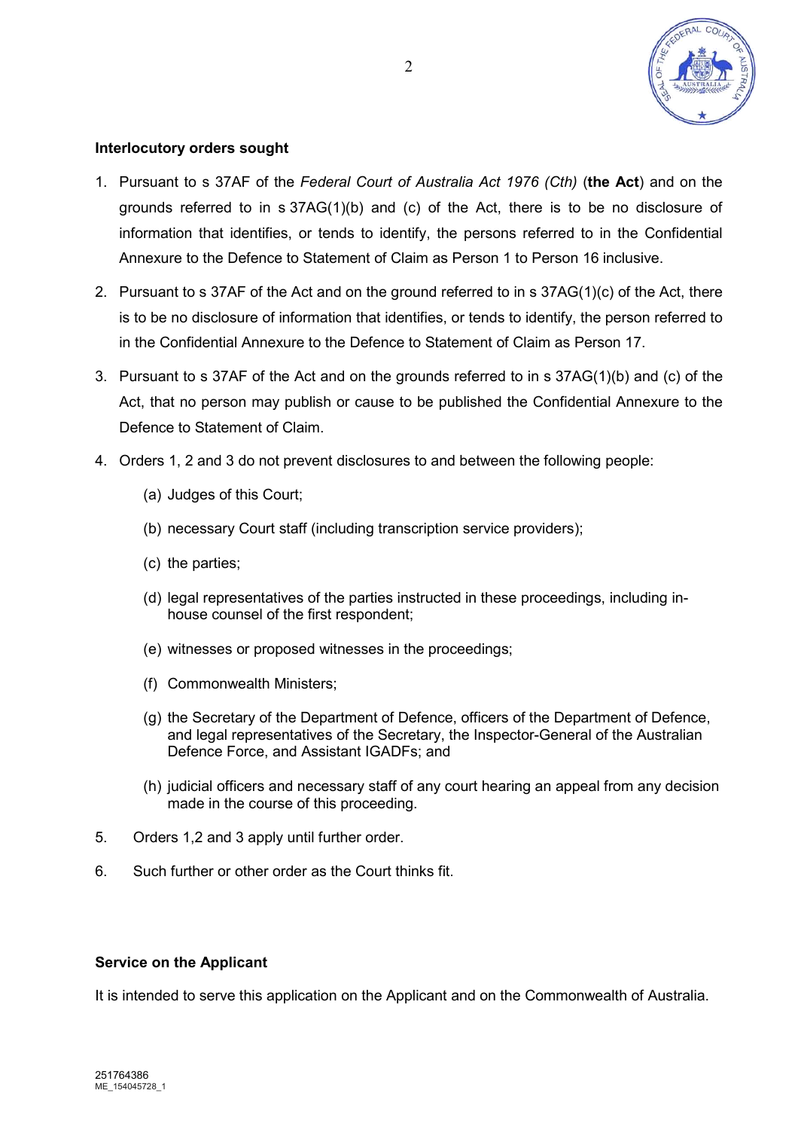

# **Interlocutory orders sought**

- 1. Pursuant to s 37AF of the *Federal Court of Australia Act 1976 (Cth)* (**the Act**) and on the grounds referred to in  $s$  37AG(1)(b) and (c) of the Act, there is to be no disclosure of information that identifies, or tends to identify, the persons referred to in the Confidential Annexure to the Defence to Statement of Claim as Person 1 to Person 16 inclusive.
- 2. Pursuant to s 37AF of the Act and on the ground referred to in s 37AG(1)(c) of the Act, there is to be no disclosure of information that identifies, or tends to identify, the person referred to in the Confidential Annexure to the Defence to Statement of Claim as Person 17.
- 3. Pursuant to s 37AF of the Act and on the grounds referred to in s 37AG(1)(b) and (c) of the Act, that no person may publish or cause to be published the Confidential Annexure to the Defence to Statement of Claim.
- 4. Orders 1, 2 and 3 do not prevent disclosures to and between the following people:
	- (a) Judges of this Court;
	- (b) necessary Court staff (including transcription service providers);
	- (c) the parties;
	- (d) legal representatives of the parties instructed in these proceedings, including inhouse counsel of the first respondent;
	- (e) witnesses or proposed witnesses in the proceedings;
	- (f) Commonwealth Ministers;
	- (g) the Secretary of the Department of Defence, officers of the Department of Defence, and legal representatives of the Secretary, the Inspector-General of the Australian Defence Force, and Assistant IGADFs; and
	- (h) judicial officers and necessary staff of any court hearing an appeal from any decision made in the course of this proceeding.
- 5. Orders 1,2 and 3 apply until further order.
- 6. Such further or other order as the Court thinks fit.

### **Service on the Applicant**

It is intended to serve this application on the Applicant and on the Commonwealth of Australia.